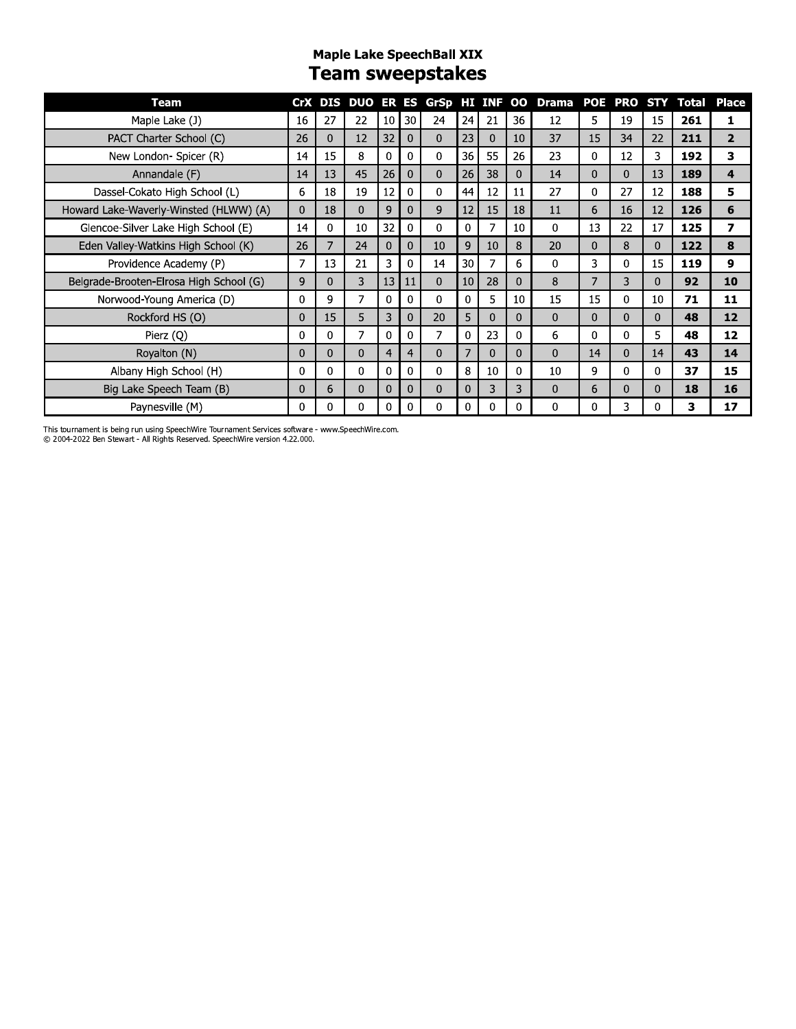#### **Maple Lake SpeechBall XIX** Team sweepstakes

| Team                                    |              |              |          |                |                 |          |                 |          |              | CrX DIS DUO ER ES GrSp HI INF OO Drama |                |              |    | POE PRO STY Total | Place          |
|-----------------------------------------|--------------|--------------|----------|----------------|-----------------|----------|-----------------|----------|--------------|----------------------------------------|----------------|--------------|----|-------------------|----------------|
| Maple Lake (J)                          | 16           | 27           | 22       | 10             | 30 <sup>°</sup> | 24       | 24              | 21       | 36           | 12                                     | 5              | 19           | 15 | 261               | 1              |
| PACT Charter School (C)                 | 26           | $\Omega$     | 12       | 32             | $\mathbf 0$     | $\Omega$ | 23              | $\Omega$ | 10           | 37                                     | 15             | 34           | 22 | 211               | $\overline{2}$ |
| New London- Spicer (R)                  | 14           | 15           | 8        | 0              | 0               | $\Omega$ | 36              | 55       | 26           | 23                                     | 0              | 12           | 3  | 192               | 3              |
| Annandale (F)                           | 14           | 13           | 45       | 26             | 0               | $\Omega$ | 26              | 38       | 0            | 14                                     | 0              | $\mathbf{0}$ | 13 | 189               | 4              |
| Dassel-Cokato High School (L)           | 6            | 18           | 19       | 12             | 0               | 0        | 44              | 12       | 11           | 27                                     | 0              | 27           | 12 | 188               | 5              |
| Howard Lake-Waverly-Winsted (HLWW) (A)  | $\mathbf{0}$ | 18           | $\Omega$ | 9              | $\Omega$        | 9        | 12              | 15       | 18           | 11                                     | 6              | 16           | 12 | 126               | 6              |
| Glencoe-Silver Lake High School (E)     | 14           | 0            | 10       | 32             | 0               | 0        | 0               | 7        | 10           | 0                                      | 13             | 22           | 17 | 125               | 7              |
| Eden Valley-Watkins High School (K)     | 26           | 7            | 24       | $\mathbf 0$    | $\Omega$        | 10       | 9               | 10       | 8            | 20                                     | 0              | 8            | 0  | 122               | 8              |
| Providence Academy (P)                  | 7            | 13           | 21       | 3              | 0               | 14       | 30              | 7        | 6            | 0                                      | 3              | 0            | 15 | 119               | 9              |
| Belgrade-Brooten-Elrosa High School (G) | 9            | $\mathbf{0}$ | 3        | 13             | 11              | $\Omega$ | 10 <sup>°</sup> | 28       | $\Omega$     | 8                                      | $\overline{7}$ | 3            | 0  | 92                | 10             |
| Norwood-Young America (D)               | 0            | 9            | 7        | 0              | 0               | 0        | 0               | 5        | 10           | 15                                     | 15             | 0            | 10 | 71                | 11             |
| Rockford HS (O)                         | $\Omega$     | 15           | 5        | 3              | 0               | 20       | 5               | 0        | $\mathbf{0}$ | 0                                      | $\mathbf{0}$   | $\Omega$     | 0  | 48                | 12             |
| Pierz (Q)                               | 0            | 0            | 7        | $\Omega$       | 0               | 7        | 0               | 23       | $\mathbf{0}$ | 6                                      | 0              | 0            | 5. | 48                | 12             |
| Royalton (N)                            | $\mathbf{0}$ | $\Omega$     | $\Omega$ | $\overline{4}$ | 4               | $\Omega$ | 7               | $\Omega$ | $\Omega$     | 0                                      | 14             | $\Omega$     | 14 | 43                | 14             |
| Albany High School (H)                  | $\Omega$     | 0            | $\Omega$ | $\Omega$       | 0               | 0        | 8               | 10       | 0            | 10                                     | 9              | $\Omega$     | 0  | 37                | 15             |
| Big Lake Speech Team (B)                | 0            | 6            | $\Omega$ | $\Omega$       | 0               | $\Omega$ | 0               | 3        | 3            | 0                                      | 6              | $\Omega$     | 0  | 18                | 16             |
| Paynesville (M)                         | 0            | 0            | 0        | $\Omega$       | 0               | $\Omega$ | 0               | 0        | 0            | 0                                      | 0              | 3            |    | 3                 | 17             |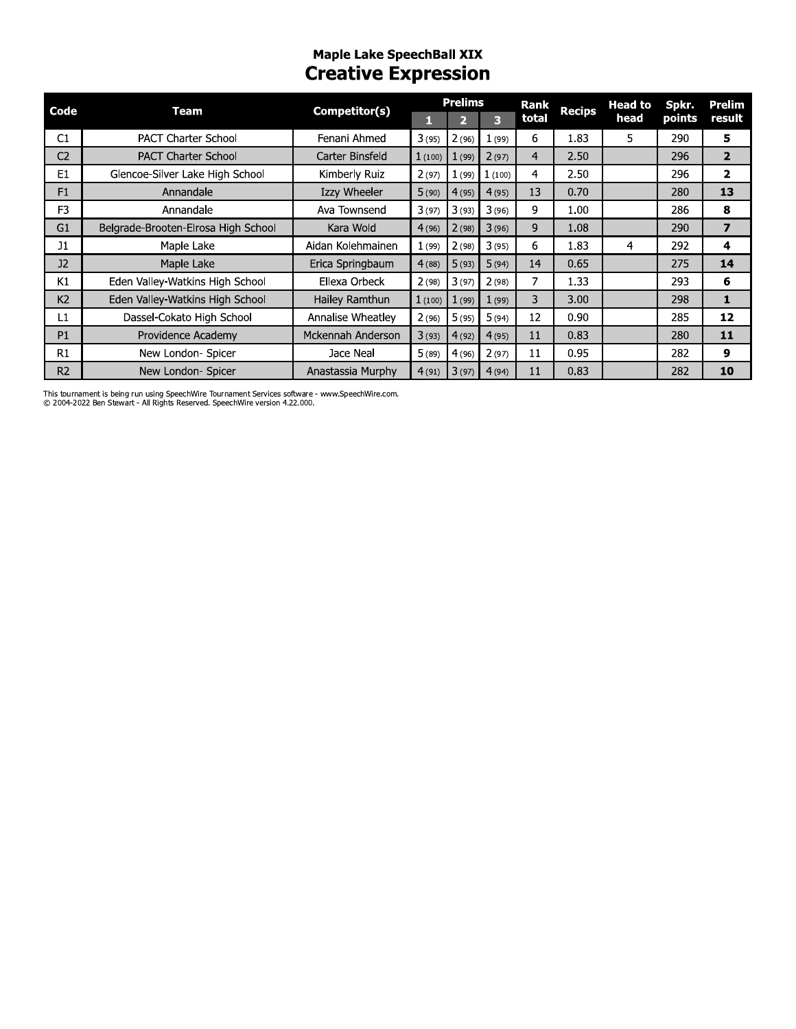# Maple Lake SpeechBall XIX<br>Creative Expression

| Code           | Team                                | Competitor(s)     |        | <b>Prelims</b> |        | Rank           | <b>Recips</b> | <b>Head to</b> | Spkr.  | Prelim                  |
|----------------|-------------------------------------|-------------------|--------|----------------|--------|----------------|---------------|----------------|--------|-------------------------|
|                |                                     |                   | П      |                | 3      | total          |               | head           | points | result                  |
| C1             | <b>PACT Charter School</b>          | Fenani Ahmed      | 3(95)  | 2(96)          | 1(99)  | 6              | 1.83          | 5.             | 290    | 5                       |
| C <sub>2</sub> | <b>PACT Charter School</b>          | Carter Binsfeld   | 1(100) | 1(99)          | 2(97)  | $\overline{4}$ | 2.50          |                | 296    | $\overline{2}$          |
| E1             | Glencoe-Silver Lake High School     | Kimberly Ruiz     | 2(97)  | 1(99)          | 1(100) | 4              | 2.50          |                | 296    | 2                       |
| F1             | Annandale                           | Izzy Wheeler      | 5(90)  | 4(95)          | 4(95)  | 13             | 0.70          |                | 280    | 13                      |
| F <sub>3</sub> | Annandale                           | Ava Townsend      | 3(97)  | 3(93)          | 3(96)  | 9              | 1.00          |                | 286    | 8                       |
| G <sub>1</sub> | Belgrade-Brooten-Elrosa High School | Kara Wold         | 4(96)  | 2(98)          | 3(96)  | 9              | 1.08          |                | 290    | $\overline{\mathbf{z}}$ |
| J1             | Maple Lake                          | Aidan Kolehmainen | 1(99)  | 2(98)          | 3(95)  | 6              | 1.83          | 4              | 292    | 4                       |
| J2             | Maple Lake                          | Erica Springbaum  | 4(88)  | 5(93)          | 5(94)  | 14             | 0.65          |                | 275    | 14                      |
| K1             | Eden Valley-Watkins High School     | Ellexa Orbeck     | 2(98)  | 3(97)          | 2(98)  | 7              | 1.33          |                | 293    | 6                       |
| K <sub>2</sub> | Eden Valley-Watkins High School     | Hailey Ramthun    | 1(100) | 1(99)          | 1(99)  | 3              | 3.00          |                | 298    | 1                       |
| L1             | Dassel-Cokato High School           | Annalise Wheatley | 2(96)  | 5(95)          | 5(94)  | 12             | 0.90          |                | 285    | 12                      |
| P1             | Providence Academy                  | Mckennah Anderson | 3(93)  | 4(92)          | 4(95)  | 11             | 0.83          |                | 280    | 11                      |
| R1             | New London- Spicer                  | Jace Neal         | 5(89)  | 4(96)          | 2(97)  | 11             | 0.95          |                | 282    | 9                       |
| R <sub>2</sub> | New London- Spicer                  | Anastassia Murphy | 4(91)  | 3(97)          | 4(94)  | 11             | 0.83          |                | 282    | 10                      |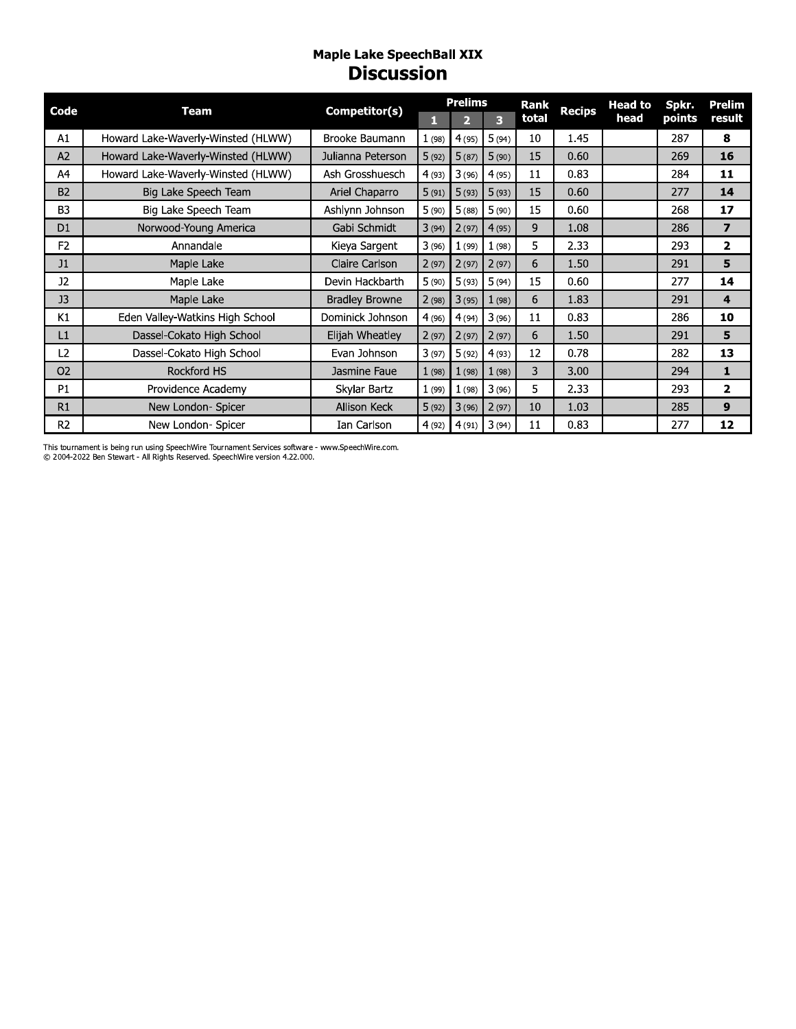#### Maple Lake SpeechBall XIX **Discussion**

| Code           | Team                               |                       |       | <b>Prelims</b> |       | <b>Rank</b> | <b>Recips</b> | <b>Head to</b> | Spkr.  | Prelim         |
|----------------|------------------------------------|-----------------------|-------|----------------|-------|-------------|---------------|----------------|--------|----------------|
|                |                                    | Competitor(s)         | н     | 2              | 3     | total       |               | head           | points | result         |
| A1             | Howard Lake-Waverly-Winsted (HLWW) | Brooke Baumann        | 1(98) | 4(95)          | 5(94) | 10          | 1.45          |                | 287    | 8              |
| A <sub>2</sub> | Howard Lake-Waverly-Winsted (HLWW) | Julianna Peterson     | 5(92) | 5(87)          | 5(90) | 15          | 0.60          |                | 269    | 16             |
| A4             | Howard Lake-Waverly-Winsted (HLWW) | Ash Grosshuesch       | 4(93) | 3(96)          | 4(95) | 11          | 0.83          |                | 284    | 11             |
| <b>B2</b>      | Big Lake Speech Team               | Ariel Chaparro        | 5(91) | 5(93)          | 5(93) | 15          | 0.60          |                | 277    | 14             |
| B <sub>3</sub> | Big Lake Speech Team               | Ashlynn Johnson       | 5(90) | 5(88)          | 5(90) | 15          | 0.60          |                | 268    | 17             |
| D <sub>1</sub> | Norwood-Young America              | Gabi Schmidt          | 3(94) | 2(97)          | 4(95) | 9           | 1.08          |                | 286    | $\overline{ }$ |
| F <sub>2</sub> | Annandale                          | Kieya Sargent         | 3(96) | 1(99)          | 1(98) | 5           | 2.33          |                | 293    | $\overline{2}$ |
| J1             | Maple Lake                         | Claire Carlson        | 2(97) | 2(97)          | 2(97) | 6           | 1.50          |                | 291    | 5              |
| J2             | Maple Lake                         | Devin Hackbarth       | 5(90) | 5(93)          | 5(94) | 15          | 0.60          |                | 277    | 14             |
| J <sub>3</sub> | Maple Lake                         | <b>Bradley Browne</b> | 2(98) | 3(95)          | 1(98) | 6           | 1.83          |                | 291    | 4              |
| K1             | Eden Valley-Watkins High School    | Dominick Johnson      | 4(96) | 4(94)          | 3(96) | 11          | 0.83          |                | 286    | 10             |
| L1             | Dassel-Cokato High School          | Elijah Wheatley       | 2(97) | 2(97)          | 2(97) | 6           | 1.50          |                | 291    | 5              |
| L2             | Dassel-Cokato High School          | Evan Johnson          | 3(97) | 5(92)          | 4(93) | 12          | 0.78          |                | 282    | 13             |
| <b>O2</b>      | <b>Rockford HS</b>                 | Jasmine Faue          | 1(98) | 1(98)          | 1(98) | 3           | 3.00          |                | 294    | 1              |
| P1             | Providence Academy                 | Skylar Bartz          | 1(99) | 1(98)          | 3(96) | 5.          | 2.33          |                | 293    | $\overline{2}$ |
| R1             | New London- Spicer                 | <b>Allison Keck</b>   | 5(92) | 3(96)          | 2(97) | 10          | 1.03          |                | 285    | 9              |
| R <sub>2</sub> | New London- Spicer                 | Ian Carlson           | 4(92) | 4(91)          | 3(94) | 11          | 0.83          |                | 277    | 12             |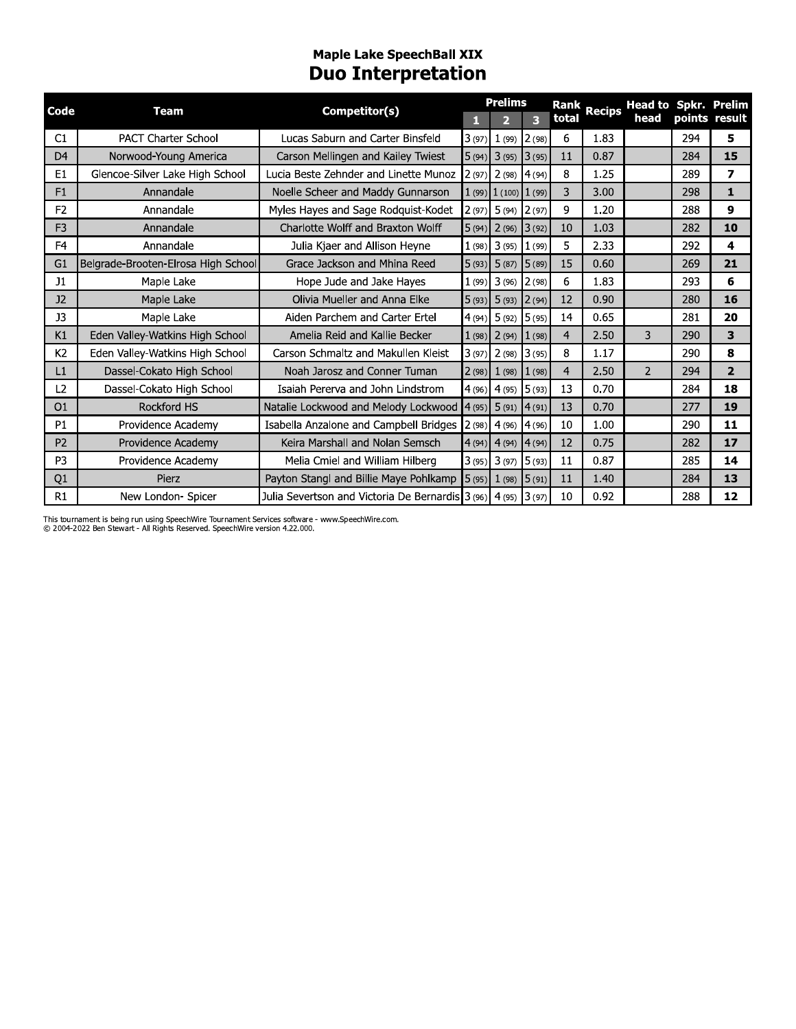#### **Maple Lake SpeechBall XIX Duo Interpretation**

| Code           | <b>Team</b>                         |                                                                |        | <b>Prelims</b>           |                         | Rank           | <b>Recips</b> | <b>Head to Spkr. Prelim</b> |               |                |
|----------------|-------------------------------------|----------------------------------------------------------------|--------|--------------------------|-------------------------|----------------|---------------|-----------------------------|---------------|----------------|
|                |                                     | Competitor(s)                                                  | П      |                          | $\overline{\mathbf{3}}$ | total          |               | head                        | points result |                |
| C1             | <b>PACT Charter School</b>          | Lucas Saburn and Carter Binsfeld                               | 3(97)  | $1(99)$ $2(98)$          |                         | 6              | 1.83          |                             | 294           | 5              |
| D <sub>4</sub> | Norwood-Young America               | Carson Mellingen and Kailey Twiest                             |        | $5(94)$ 3 (95) 3 (95)    |                         | 11             | 0.87          |                             | 284           | 15             |
| E <sub>1</sub> | Glencoe-Silver Lake High School     | Lucia Beste Zehnder and Linette Munoz                          | 2(97)  | $2(98)$ 4 (94)           |                         | 8              | 1.25          |                             | 289           | 7              |
| F1             | Annandale                           | Noelle Scheer and Maddy Gunnarson                              |        | $1(99)$ $1(100)$ $1(99)$ |                         | 3              | 3.00          |                             | 298           | $\mathbf{1}$   |
| F <sub>2</sub> | Annandale                           | Myles Hayes and Sage Rodguist-Kodet                            | 2(97)  | $5(94)$ 2(97)            |                         | 9              | 1.20          |                             | 288           | 9              |
| F <sub>3</sub> | Annandale                           | Charlotte Wolff and Braxton Wolff                              | 5(94)  | $2(96)$ 3(92)            |                         | 10             | 1.03          |                             | 282           | 10             |
| F <sub>4</sub> | Annandale                           | Julia Kjaer and Allison Heyne                                  | 1(98)  | $3(95)$ $1(99)$          |                         | 5              | 2.33          |                             | 292           | 4              |
| G1             | Belgrade-Brooten-Elrosa High School | Grace Jackson and Mhina Reed                                   | 5(93)  | $5(87)$ 5 (89)           |                         | 15             | 0.60          |                             | 269           | 21             |
| J1             | Maple Lake                          | Hope Jude and Jake Hayes                                       | 1(99)  | $3(96)$ $2(98)$          |                         | 6              | 1.83          |                             | 293           | 6              |
| J <sub>2</sub> | Maple Lake                          | Olivia Mueller and Anna Elke                                   | 5(93)  | $5(93)$ $2(94)$          |                         | 12             | 0.90          |                             | 280           | 16             |
| J3             | Maple Lake                          | Aiden Parchem and Carter Ertel                                 | (4(94) | $5(92)$ $5(95)$          |                         | 14             | 0.65          |                             | 281           | 20             |
| K1             | Eden Valley-Watkins High School     | Amelia Reid and Kallie Becker                                  | 1(98)  | $2(94)$ $1(98)$          |                         | $\overline{4}$ | 2.50          | 3                           | 290           | 3              |
| K <sub>2</sub> | Eden Valley-Watkins High School     | Carson Schmaltz and Makullen Kleist                            | 3(97)  | $2(98)$ 3(95)            |                         | 8              | 1.17          |                             | 290           | 8              |
| L1             | Dassel-Cokato High School           | Noah Jarosz and Conner Tuman                                   | 2(98)  | $1(98)$ $1(98)$          |                         | $\overline{4}$ | 2.50          | $\overline{2}$              | 294           | $\overline{2}$ |
| L2             | Dassel-Cokato High School           | Isaiah Pererva and John Lindstrom                              | 4(96)  | $4(95)$ 5(93)            |                         | 13             | 0.70          |                             | 284           | 18             |
| O <sub>1</sub> | Rockford HS                         | Natalie Lockwood and Melody Lockwood                           | 4(95)  | $5(91)$ 4(91)            |                         | 13             | 0.70          |                             | 277           | 19             |
| P <sub>1</sub> | Providence Academy                  | Isabella Anzalone and Campbell Bridges                         | 2(98)  | $4(96)$ $4(96)$          |                         | 10             | 1.00          |                             | 290           | 11             |
| P <sub>2</sub> | Providence Academy                  | Keira Marshall and Nolan Semsch                                | 4(94)  | $4(94)$ 4(94)            |                         | 12             | 0.75          |                             | 282           | 17             |
| P <sub>3</sub> | Providence Academy                  | Melia Cmiel and William Hilberg                                | 3(95)  | $3(97)$ 5(93)            |                         | 11             | 0.87          |                             | 285           | 14             |
| Q1             | Pierz                               | Payton Stangl and Billie Maye Pohlkamp                         | 5(95)  | 1(98) 5(91)              |                         | 11             | 1.40          |                             | 284           | 13             |
| R1             | New London- Spicer                  | Julia Severtson and Victoria De Bernardis 3 (96) 4 (95) 3 (97) |        |                          |                         | 10             | 0.92          |                             | 288           | 12             |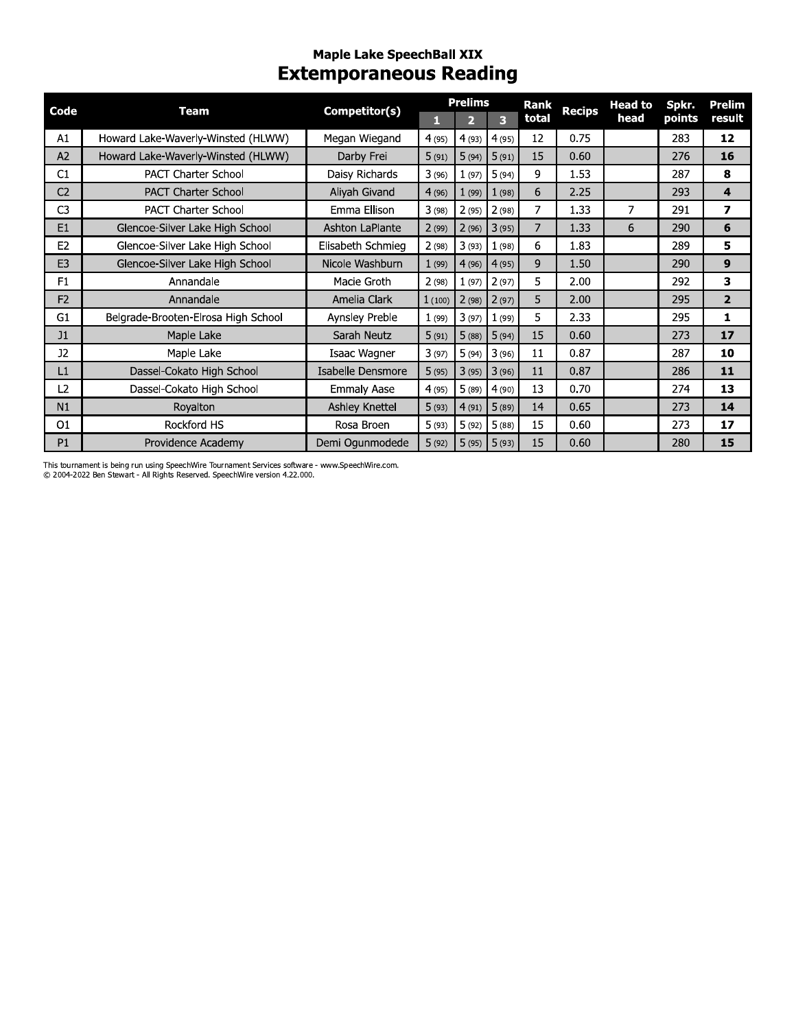## mapie Lake SpeecnBall XIX Extemporaneous Reading

| Code           | <b>Team</b>                         | Competitor(s)          | $\mathbf{1}$ | <b>Prelims</b><br>$\overline{2}$ | $\overline{\mathbf{3}}$ | <b>Rank</b><br>total | <b>Recips</b> | <b>Head to</b><br>head | Spkr.<br>points | Prelim<br>result        |
|----------------|-------------------------------------|------------------------|--------------|----------------------------------|-------------------------|----------------------|---------------|------------------------|-----------------|-------------------------|
| A1             | Howard Lake-Waverly-Winsted (HLWW)  | Megan Wiegand          | 4(95)        |                                  | 4(93) 4(95)             | 12                   | 0.75          |                        | 283             | 12                      |
| A2             | Howard Lake-Waverly-Winsted (HLWW)  | Darby Frei             | 5(91)        | 5(94)                            | 5(91)                   | 15                   | 0.60          |                        | 276             | 16                      |
| C1             | <b>PACT Charter School</b>          | Daisy Richards         | 3(96)        | 1(97)                            | 5(94)                   | 9                    | 1.53          |                        | 287             | 8                       |
| C <sub>2</sub> | <b>PACT Charter School</b>          | Aliyah Givand          | 4(96)        | 1(99)                            | 1(98)                   | 6                    | 2.25          |                        | 293             | $\overline{\mathbf{4}}$ |
| C <sub>3</sub> | <b>PACT Charter School</b>          | Emma Ellison           | 3(98)        | 2(95)                            | 2(98)                   | $\overline{7}$       | 1.33          | 7                      | 291             | $\overline{ }$          |
| E1             | Glencoe-Silver Lake High School     | <b>Ashton LaPlante</b> | 2(99)        | 2(96)                            | 3(95)                   | $\overline{7}$       | 1.33          | 6                      | 290             | 6                       |
| E <sub>2</sub> | Glencoe-Silver Lake High School     | Elisabeth Schmieg      | 2(98)        | 3(93)                            | 1(98)                   | 6                    | 1.83          |                        | 289             | 5.                      |
| E <sub>3</sub> | Glencoe-Silver Lake High School     | Nicole Washburn        | 1(99)        | 4(96)                            | 4(95)                   | 9                    | 1.50          |                        | 290             | $\mathbf{9}$            |
| F1             | Annandale                           | Macie Groth            | 2(98)        | 1(97)                            | 2(97)                   | 5                    | 2.00          |                        | 292             | 3                       |
| F <sub>2</sub> | Annandale                           | Amelia Clark           | 1(100)       | 2(98)                            | 2(97)                   | 5                    | 2.00          |                        | 295             | $\overline{2}$          |
| G1             | Belgrade-Brooten-Elrosa High School | Aynsley Preble         | 1(99)        | 3(97)                            | 1(99)                   | 5                    | 2.33          |                        | 295             | $\mathbf{1}$            |
| J1             | Maple Lake                          | Sarah Neutz            | 5(91)        | 5(88)                            | 5(94)                   | 15                   | 0.60          |                        | 273             | 17                      |
| J2             | Maple Lake                          | Isaac Wagner           | 3(97)        | 5(94)                            | 3(96)                   | 11                   | 0.87          |                        | 287             | 10                      |
| L1             | Dassel-Cokato High School           | Isabelle Densmore      | 5(95)        | 3(95)                            | 3(96)                   | 11                   | 0.87          |                        | 286             | 11                      |
| L <sub>2</sub> | Dassel-Cokato High School           | <b>Emmaly Aase</b>     | 4(95)        | 5(89)                            | 4(90)                   | 13                   | 0.70          |                        | 274             | 13                      |
| N1             | Royalton                            | <b>Ashley Knettel</b>  | 5(93)        | 4(91)                            | 5(89)                   | 14                   | 0.65          |                        | 273             | 14                      |
| O <sub>1</sub> | Rockford HS                         | Rosa Broen             | 5(93)        | 5(92)                            | 5(88)                   | 15                   | 0.60          |                        | 273             | 17                      |
| P <sub>1</sub> | Providence Academy                  | Demi Ogunmodede        | 5(92)        | 5(95)                            | 5(93)                   | 15                   | 0.60          |                        | 280             | 15                      |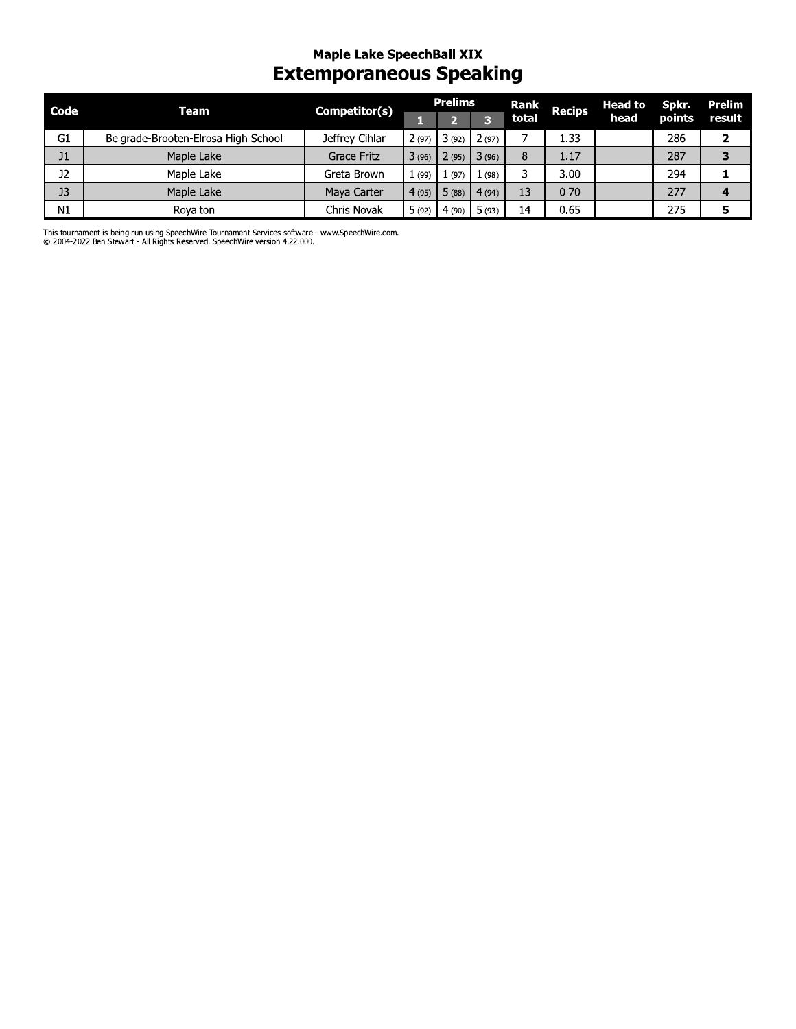### mapie Lake SpeecnBall XIX Extemporaneous Speaking

| Code           | <b>Team</b>                         | Competitor(s)  |       | <b>Prelims</b>        |                         | Rank  | <b>Recips</b> | <b>Head to</b> | Spkr.  | <b>Prelim</b> |
|----------------|-------------------------------------|----------------|-------|-----------------------|-------------------------|-------|---------------|----------------|--------|---------------|
|                |                                     |                | П     | D,                    | $\overline{\mathbf{3}}$ | total |               | head           | points | result        |
| G1             | Belgrade-Brooten-Elrosa High School | Jeffrey Cihlar | 2(97) | 3(92)                 | 2(97)                   | 7     | 1.33          |                | 286    |               |
| J1             | Maple Lake                          | Grace Fritz    |       | $3(96)$ $2(95)$       | 3(96)                   | 8     | 1.17          |                | 287    |               |
| J2             | Maple Lake                          | Greta Brown    | 1(99) | 1(97)                 | 1(98)                   | 3     | 3.00          |                | 294    |               |
| J <sub>3</sub> | Maple Lake                          | Maya Carter    | 4(95) | 5(88)                 | 4(94)                   | 13    | 0.70          |                | 277    |               |
| N1             | Royalton                            | Chris Novak    |       | $5(92)$ 4 (90) 5 (93) |                         | 14    | 0.65          |                | 275    |               |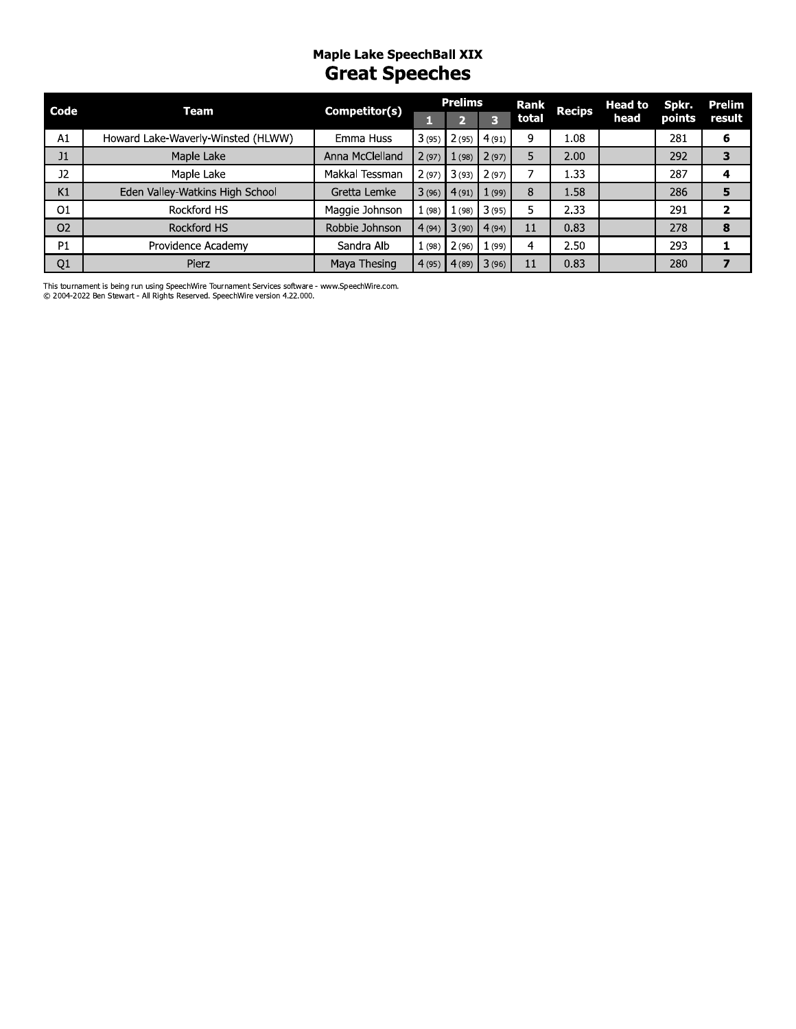#### Maple Lake SpeechBall XIX **Great Speeches**

| Code           | Team                               | Competitor(s)   |       | <b>Prelims</b> |               | Rank  | <b>Recips</b> | <b>Head to</b> | Spkr.  | Prelim |
|----------------|------------------------------------|-----------------|-------|----------------|---------------|-------|---------------|----------------|--------|--------|
|                |                                    |                 |       |                |               | total |               | head           | points | result |
| A1             | Howard Lake-Waverly-Winsted (HLWW) | Emma Huss       | 3(95) |                | $2(95)$ 4(91) | 9     | 1.08          |                | 281    | 6      |
| J1             | Maple Lake                         | Anna McClelland | 2(97) | 1(98)          | 2(97)         | 5     | 2.00          |                | 292    |        |
| <b>J2</b>      | Maple Lake                         | Makkal Tessman  | 2(97) | 3(93)          | 2(97)         |       | 1.33          |                | 287    |        |
| K1             | Eden Valley-Watkins High School    | Gretta Lemke    | 3(96) | 4(91)          | 1(99)         | 8     | 1.58          |                | 286    | 5      |
| O <sub>1</sub> | Rockford HS                        | Maggie Johnson  | 1(98) | (98)           | 3(95)         | 5     | 2.33          |                | 291    | 2      |
| O <sub>2</sub> | <b>Rockford HS</b>                 | Robbie Johnson  | 4(94) | 3(90)          | 4(94)         | 11    | 0.83          |                | 278    | 8      |
| P1             | Providence Academy                 | Sandra Alb      | 1(98) | 2(96)          | (99)          | 4     | 2.50          |                | 293    |        |
| Q <sub>1</sub> | Pierz                              | Maya Thesing    | 4(95) | (4(89))        | 3(96)         | 11    | 0.83          |                | 280    |        |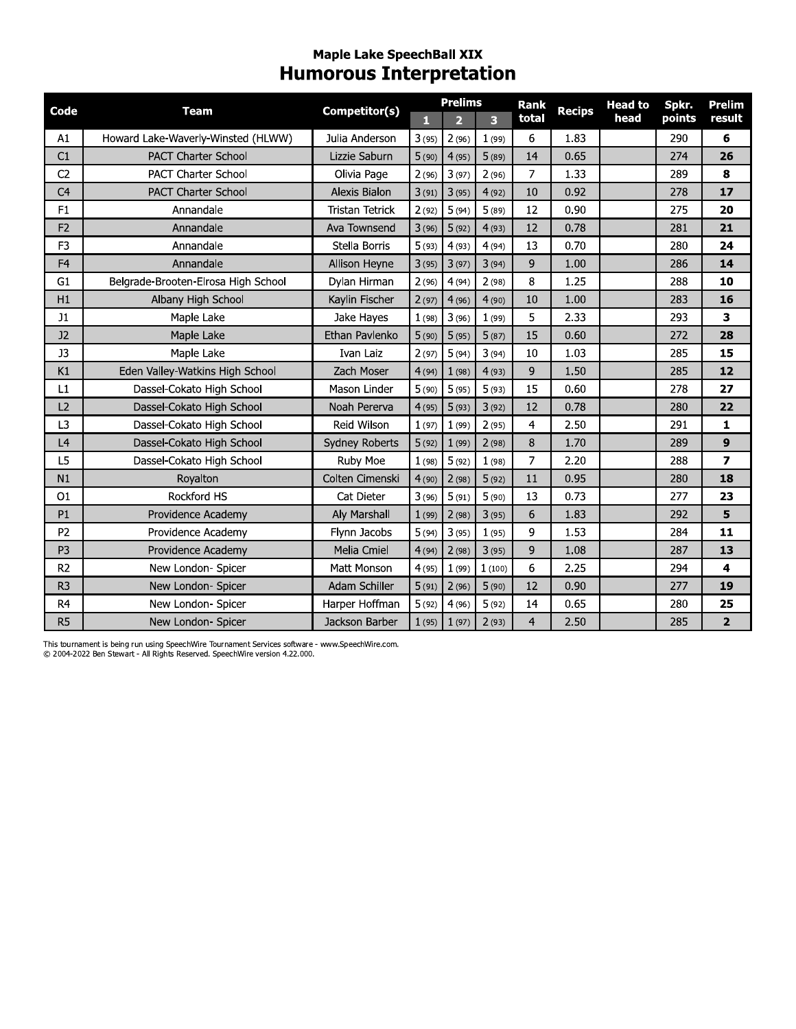#### Maple Lake SpeechBall XIX **Humorous Interpretation**

| Code           | <b>Team</b>                         | Competitor(s)          | п     | <b>Prelims</b><br>$\overline{2}$ | 3      | <b>Rank</b><br>total | <b>Recips</b> | <b>Head to</b><br>head | Spkr.<br>points | <b>Prelim</b><br>result |
|----------------|-------------------------------------|------------------------|-------|----------------------------------|--------|----------------------|---------------|------------------------|-----------------|-------------------------|
| A1             | Howard Lake-Waverly-Winsted (HLWW)  | Julia Anderson         | 3(95) | 2(96)                            | 1(99)  | 6                    | 1.83          |                        | 290             | 6                       |
| C1             | <b>PACT Charter School</b>          | Lizzie Saburn          | 5(90) | 4(95)                            | 5(89)  | 14                   | 0.65          |                        | 274             | 26                      |
| C <sub>2</sub> | <b>PACT Charter School</b>          | Olivia Page            | 2(96) | 3(97)                            | 2(96)  | 7                    | 1.33          |                        | 289             | 8                       |
| C <sub>4</sub> | <b>PACT Charter School</b>          | Alexis Bialon          | 3(91) | 3(95)                            | 4(92)  | 10                   | 0.92          |                        | 278             | 17                      |
| F1             | Annandale                           | <b>Tristan Tetrick</b> | 2(92) | 5(94)                            | 5(89)  | 12                   | 0.90          |                        | 275             | 20                      |
| F <sub>2</sub> | Annandale                           | Ava Townsend           | 3(96) | 5(92)                            | 4(93)  | 12                   | 0.78          |                        | 281             | 21                      |
| F <sub>3</sub> | Annandale                           | Stella Borris          | 5(93) | 4(93)                            | 4(94)  | 13                   | 0.70          |                        | 280             | 24                      |
| F <sub>4</sub> | Annandale                           | Allison Heyne          | 3(95) | 3(97)                            | 3(94)  | 9                    | 1.00          |                        | 286             | 14                      |
| G <sub>1</sub> | Belgrade-Brooten-Elrosa High School | Dylan Hirman           | 2(96) | 4(94)                            | 2(98)  | 8                    | 1.25          |                        | 288             | 10                      |
| H1             | Albany High School                  | Kaylin Fischer         | 2(97) | 4(96)                            | 4(90)  | 10                   | 1.00          |                        | 283             | 16                      |
| J1             | Maple Lake                          | Jake Hayes             | 1(98) | 3(96)                            | 1(99)  | 5                    | 2.33          |                        | 293             | 3                       |
| J2             | Maple Lake                          | Ethan Pavlenko         | 5(90) | 5(95)                            | 5(87)  | 15                   | 0.60          |                        | 272             | 28                      |
| J3             | Maple Lake                          | Ivan Laiz              | 2(97) | 5(94)                            | 3(94)  | 10                   | 1.03          |                        | 285             | 15                      |
| K1             | Eden Valley-Watkins High School     | Zach Moser             | 4(94) | 1(98)                            | 4(93)  | 9                    | 1.50          |                        | 285             | 12                      |
| L1             | Dassel-Cokato High School           | Mason Linder           | 5(90) | 5(95)                            | 5(93)  | 15                   | 0.60          |                        | 278             | 27                      |
| L2             | Dassel-Cokato High School           | Noah Pererva           | 4(95) | 5(93)                            | 3(92)  | 12                   | 0.78          |                        | 280             | 22                      |
| L <sub>3</sub> | Dassel-Cokato High School           | Reid Wilson            | 1(97) | 1(99)                            | 2(95)  | 4                    | 2.50          |                        | 291             | 1                       |
| L <sub>4</sub> | Dassel-Cokato High School           | Sydney Roberts         | 5(92) | 1(99)                            | 2(98)  | 8                    | 1.70          |                        | 289             | 9                       |
| L5             | Dassel-Cokato High School           | Ruby Moe               | 1(98) | 5(92)                            | 1(98)  | 7                    | 2.20          |                        | 288             | $\overline{ }$          |
| N1             | Royalton                            | Colten Cimenski        | 4(90) | 2(98)                            | 5(92)  | 11                   | 0.95          |                        | 280             | 18                      |
| 01             | Rockford HS                         | Cat Dieter             | 3(96) | 5(91)                            | 5(90)  | 13                   | 0.73          |                        | 277             | 23                      |
| P <sub>1</sub> | Providence Academy                  | Aly Marshall           | 1(99) | 2(98)                            | 3(95)  | 6                    | 1.83          |                        | 292             | 5                       |
| P <sub>2</sub> | Providence Academy                  | Flynn Jacobs           | 5(94) | 3(95)                            | 1(95)  | 9                    | 1.53          |                        | 284             | 11                      |
| P <sub>3</sub> | Providence Academy                  | <b>Melia Cmiel</b>     | 4(94) | 2(98)                            | 3(95)  | 9                    | 1.08          |                        | 287             | 13                      |
| R <sub>2</sub> | New London- Spicer                  | Matt Monson            | 4(95) | 1(99)                            | 1(100) | 6                    | 2.25          |                        | 294             | $\overline{\mathbf{4}}$ |
| R <sub>3</sub> | New London- Spicer                  | Adam Schiller          | 5(91) | 2(96)                            | 5(90)  | 12                   | 0.90          |                        | 277             | 19                      |
| R <sub>4</sub> | New London- Spicer                  | Harper Hoffman         | 5(92) | 4(96)                            | 5(92)  | 14                   | 0.65          |                        | 280             | 25                      |
| R <sub>5</sub> | New London- Spicer                  | Jackson Barber         | 1(95) | 1(97)                            | 2(93)  | $\overline{4}$       | 2.50          |                        | 285             | $\overline{2}$          |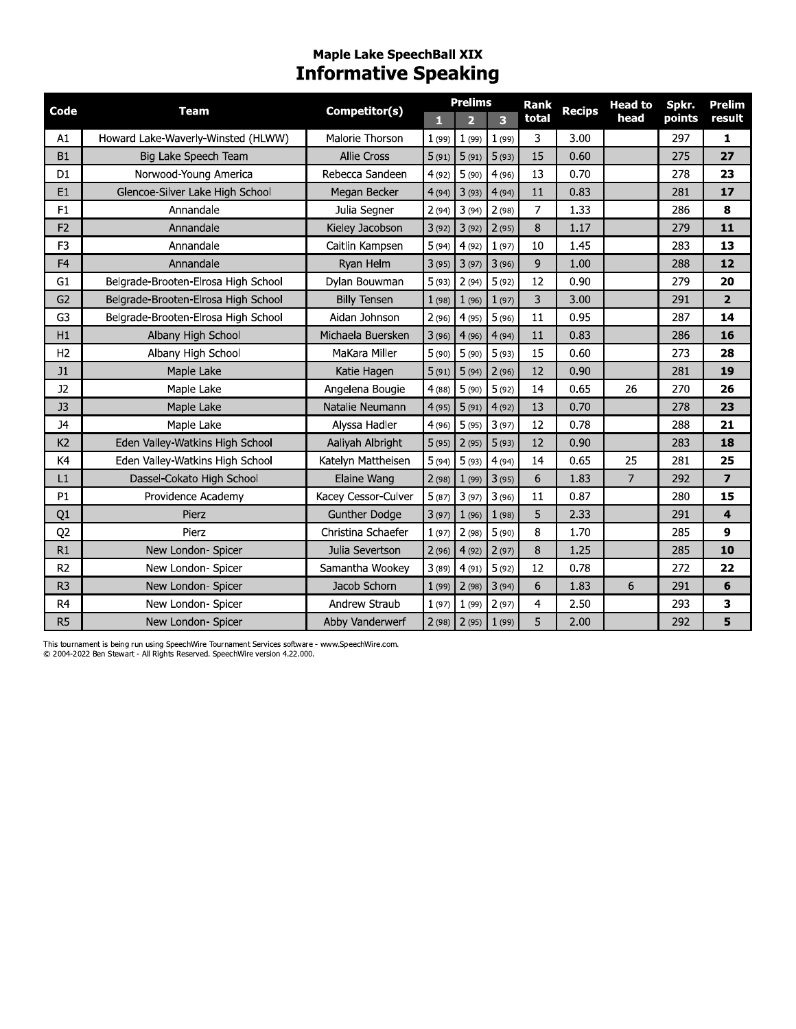# Maple Lake SpeechBall XIX<br>Informative Speaking

| Code           | <b>Team</b>                         | Competitor(s)        | П     | <b>Prelims</b><br>$\overline{2}$ | 3     | <b>Rank</b><br>total | <b>Recips</b> | <b>Head to</b><br>head | Spkr.<br>points | <b>Prelim</b><br>result |
|----------------|-------------------------------------|----------------------|-------|----------------------------------|-------|----------------------|---------------|------------------------|-----------------|-------------------------|
| A1             | Howard Lake-Waverly-Winsted (HLWW)  | Malorie Thorson      | 1(99) | 1(99)                            | 1(99) | 3                    | 3.00          |                        | 297             | 1                       |
| B1             | Big Lake Speech Team                | <b>Allie Cross</b>   | 5(91) | 5(91)                            | 5(93) | 15                   | 0.60          |                        | 275             | 27                      |
| D <sub>1</sub> | Norwood-Young America               | Rebecca Sandeen      | 4(92) | 5(90)                            | 4(96) | 13                   | 0.70          |                        | 278             | 23                      |
| E1             | Glencoe-Silver Lake High School     | Megan Becker         | 4(94) | 3(93)                            | 4(94) | 11                   | 0.83          |                        | 281             | 17                      |
| F1             | Annandale                           | Julia Segner         | 2(94) | 3(94)                            | 2(98) | $\overline{7}$       | 1.33          |                        | 286             | 8                       |
| F <sub>2</sub> | Annandale                           | Kieley Jacobson      | 3(92) | 3(92)                            | 2(95) | 8                    | 1.17          |                        | 279             | 11                      |
| F <sub>3</sub> | Annandale                           | Caitlin Kampsen      | 5(94) | 4(92)                            | 1(97) | 10                   | 1.45          |                        | 283             | 13                      |
| F <sub>4</sub> | Annandale                           | Ryan Helm            | 3(95) | 3(97)                            | 3(96) | 9                    | 1.00          |                        | 288             | 12                      |
| G <sub>1</sub> | Belgrade-Brooten-Elrosa High School | Dylan Bouwman        | 5(93) | 2(94)                            | 5(92) | 12                   | 0.90          |                        | 279             | 20                      |
| G <sub>2</sub> | Belgrade-Brooten-Elrosa High School | <b>Billy Tensen</b>  | 1(98) | 1(96)                            | 1(97) | 3                    | 3.00          |                        | 291             | $\overline{2}$          |
| G3             | Belgrade-Brooten-Elrosa High School | Aidan Johnson        | 2(96) | 4(95)                            | 5(96) | 11                   | 0.95          |                        | 287             | 14                      |
| H1             | Albany High School                  | Michaela Buersken    | 3(96) | 4(96)                            | 4(94) | 11                   | 0.83          |                        | 286             | 16                      |
| H <sub>2</sub> | Albany High School                  | MaKara Miller        | 5(90) | 5(90)                            | 5(93) | 15                   | 0.60          |                        | 273             | 28                      |
| J1             | Maple Lake                          | Katie Hagen          | 5(91) | 5(94)                            | 2(96) | 12                   | 0.90          |                        | 281             | 19                      |
| J2             | Maple Lake                          | Angelena Bougie      | 4(88) | 5(90)                            | 5(92) | 14                   | 0.65          | 26                     | 270             | 26                      |
| J3             | Maple Lake                          | Natalie Neumann      | 4(95) | 5(91)                            | 4(92) | 13                   | 0.70          |                        | 278             | 23                      |
| <b>J4</b>      | Maple Lake                          | Alvssa Hadler        | 4(96) | 5(95)                            | 3(97) | 12                   | 0.78          |                        | 288             | 21                      |
| K <sub>2</sub> | Eden Valley-Watkins High School     | Aaliyah Albright     | 5(95) | 2(95)                            | 5(93) | 12                   | 0.90          |                        | 283             | 18                      |
| K4             | Eden Valley-Watkins High School     | Katelyn Mattheisen   | 5(94) | 5(93)                            | 4(94) | 14                   | 0.65          | 25                     | 281             | 25                      |
| L1             | Dassel-Cokato High School           | Elaine Wang          | 2(98) | 1(99)                            | 3(95) | 6                    | 1.83          | $\overline{7}$         | 292             | $\overline{7}$          |
| P1             | Providence Academy                  | Kacey Cessor-Culver  | 5(87) | 3(97)                            | 3(96) | 11                   | 0.87          |                        | 280             | 15                      |
| Q1             | Pierz                               | <b>Gunther Dodge</b> | 3(97) | 1(96)                            | 1(98) | 5                    | 2.33          |                        | 291             | 4                       |
| Q <sub>2</sub> | Pierz                               | Christina Schaefer   | 1(97) | 2(98)                            | 5(90) | 8                    | 1.70          |                        | 285             | 9                       |
| R1             | New London- Spicer                  | Julia Severtson      | 2(96) | 4(92)                            | 2(97) | 8                    | 1.25          |                        | 285             | 10                      |
| R <sub>2</sub> | New London- Spicer                  | Samantha Wookey      | 3(89) | 4(91)                            | 5(92) | 12                   | 0.78          |                        | 272             | 22                      |
| R <sub>3</sub> | New London- Spicer                  | Jacob Schorn         | 1(99) | 2(98)                            | 3(94) | 6                    | 1.83          | 6                      | 291             | 6                       |
| R <sub>4</sub> | New London- Spicer                  | Andrew Straub        | 1(97) | 1(99)                            | 2(97) | 4                    | 2.50          |                        | 293             | 3                       |
| R <sub>5</sub> | New London- Spicer                  | Abby Vanderwerf      |       | $2(98)$ $2(95)$                  | 1(99) | 5                    | 2.00          |                        | 292             | 5                       |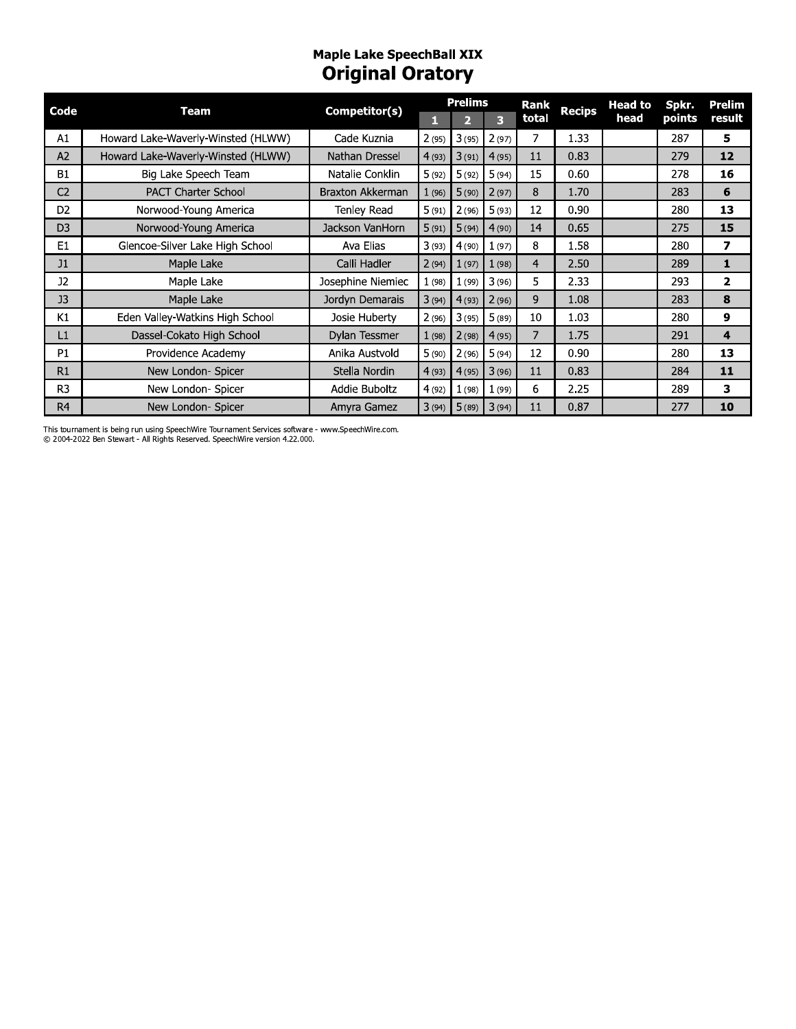# Maple Lake SpeechBall XIX<br>**Original Oratory**

| Code           | Team                               | Competitor(s)     |        | <b>Prelims</b> |       | Rank           | <b>Recips</b> | <b>Head to</b> | Spkr.  | Prelim       |
|----------------|------------------------------------|-------------------|--------|----------------|-------|----------------|---------------|----------------|--------|--------------|
|                |                                    |                   | п      |                | 3     | total          |               | head           | points | result       |
| A1             | Howard Lake-Waverly-Winsted (HLWW) | Cade Kuznia       | 2(95)  | 3(95)          | 2(97) |                | 1.33          |                | 287    | 5            |
| A2             | Howard Lake-Waverly-Winsted (HLWW) | Nathan Dressel    | 4(93)  | 3(91)          | 4(95) | 11             | 0.83          |                | 279    | 12           |
| <b>B1</b>      | Big Lake Speech Team               | Natalie Conklin   | 5(92)  | 5(92)          | 5(94) | 15             | 0.60          |                | 278    | 16           |
| C <sub>2</sub> | <b>PACT Charter School</b>         | Braxton Akkerman  | 1(96)  | 5(90)          | 2(97) | 8              | 1.70          |                | 283    | 6            |
| D <sub>2</sub> | Norwood-Young America              | Tenley Read       | 5(91)  | 2(96)          | 5(93) | 12             | 0.90          |                | 280    | 13           |
| D <sub>3</sub> | Norwood-Young America              | Jackson VanHorn   | 5(91)  | 5(94)          | 4(90) | 14             | 0.65          |                | 275    | 15           |
| E1             | Glencoe-Silver Lake High School    | Ava Elias         | 3(93)  | 4(90)          | 1(97) | 8              | 1.58          |                | 280    | 7            |
| J1             | Maple Lake                         | Calli Hadler      | 2(94)  | 1(97)          | 1(98) | 4              | 2.50          |                | 289    | $\mathbf{1}$ |
| <b>J2</b>      | Maple Lake                         | Josephine Niemiec | 1(98)  | 1(99)          | 3(96) | 5              | 2.33          |                | 293    | 2            |
| J3             | Maple Lake                         | Jordyn Demarais   | 3(94)  | 4(93)          | 2(96) | 9              | 1.08          |                | 283    | 8            |
| K1             | Eden Valley-Watkins High School    | Josie Huberty     | 2(96)  | 3(95)          | 5(89) | 10             | 1.03          |                | 280    | 9            |
| L1             | Dassel-Cokato High School          | Dylan Tessmer     | 1(98)  | 2(98)          | 4(95) | $\overline{7}$ | 1.75          |                | 291    | 4            |
| P <sub>1</sub> | Providence Academy                 | Anika Austvold    | 5(90)  | 2(96)          | 5(94) | 12             | 0.90          |                | 280    | 13           |
| R1             | New London- Spicer                 | Stella Nordin     | 4(93)  | 4(95)          | 3(96) | 11             | 0.83          |                | 284    | 11           |
| R <sub>3</sub> | New London- Spicer                 | Addie Buboltz     | 4 (92) | 1(98)          | 1(99) | 6              | 2.25          |                | 289    | 3            |
| R <sub>4</sub> | New London- Spicer                 | Amyra Gamez       | 3(94)  | 5(89)          | 3(94) | 11             | 0.87          |                | 277    | 10           |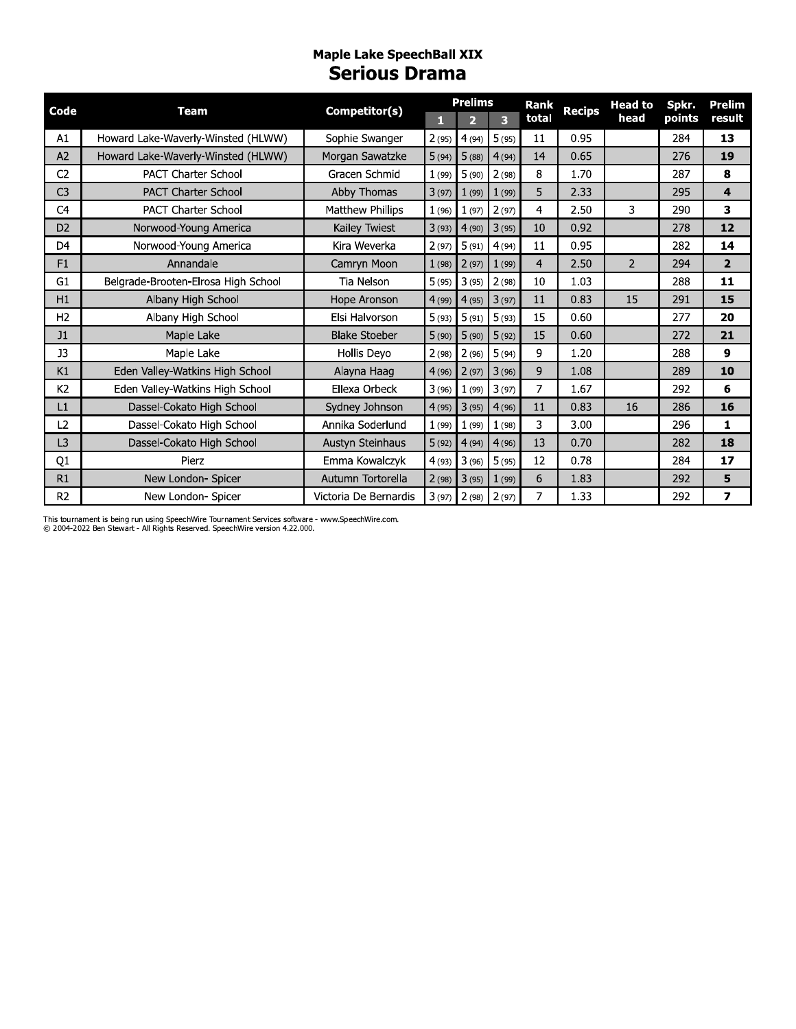#### **Maple Lake SpeechBall XIX Serious Drama**

| Code           | <b>Team</b>                         | Competitor(s)         |       | <b>Prelims</b>          |       | Rank  | <b>Recips</b> | <b>Head to</b> | Spkr.  | <b>Prelim</b>  |
|----------------|-------------------------------------|-----------------------|-------|-------------------------|-------|-------|---------------|----------------|--------|----------------|
|                |                                     |                       | п     | $\overline{\mathbf{2}}$ | 3     | total |               | head           | points | result         |
| A1             | Howard Lake-Waverly-Winsted (HLWW)  | Sophie Swanger        | 2(95) | 4(94)                   | 5(95) | 11    | 0.95          |                | 284    | 13             |
| A2             | Howard Lake-Waverly-Winsted (HLWW)  | Morgan Sawatzke       | 5(94) | 5(88)                   | 4(94) | 14    | 0.65          |                | 276    | 19             |
| C <sub>2</sub> | <b>PACT Charter School</b>          | Gracen Schmid         | 1(99) | 5(90)                   | 2(98) | 8     | 1.70          |                | 287    | 8              |
| C <sub>3</sub> | <b>PACT Charter School</b>          | Abby Thomas           | 3(97) | 1(99)                   | 1(99) | 5     | 2.33          |                | 295    | 4              |
| C <sub>4</sub> | <b>PACT Charter School</b>          | Matthew Phillips      | 1(96) | 1(97)                   | 2(97) | 4     | 2.50          | 3              | 290    | 3              |
| D <sub>2</sub> | Norwood-Young America               | Kailey Twiest         | 3(93) | 4(90)                   | 3(95) | 10    | 0.92          |                | 278    | 12             |
| D <sub>4</sub> | Norwood-Young America               | Kira Weverka          | 2(97) | 5(91)                   | 4(94) | 11    | 0.95          |                | 282    | 14             |
| F1             | Annandale                           | Camryn Moon           | 1(98) | 2(97)                   | 1(99) | 4     | 2.50          | $\overline{2}$ | 294    | $\overline{2}$ |
| G <sub>1</sub> | Belgrade-Brooten-Elrosa High School | Tia Nelson            | 5(95) | 3(95)                   | 2(98) | 10    | 1.03          |                | 288    | 11             |
| H1             | Albany High School                  | Hope Aronson          | 4(99) | 4(95)                   | 3(97) | 11    | 0.83          | 15             | 291    | 15             |
| H <sub>2</sub> | Albany High School                  | Elsi Halvorson        | 5(93) | 5(91)                   | 5(93) | 15    | 0.60          |                | 277    | 20             |
| J1             | Maple Lake                          | <b>Blake Stoeber</b>  | 5(90) | 5(90)                   | 5(92) | 15    | 0.60          |                | 272    | 21             |
| J3             | Maple Lake                          | Hollis Deyo           | 2(98) | 2(96)                   | 5(94) | 9     | 1.20          |                | 288    | 9              |
| K1             | Eden Valley-Watkins High School     | Alayna Haag           | 4(96) | 2(97)                   | 3(96) | 9     | 1.08          |                | 289    | 10             |
| K <sub>2</sub> | Eden Valley-Watkins High School     | Ellexa Orbeck         | 3(96) | 1(99)                   | 3(97) | 7     | 1.67          |                | 292    | 6              |
| L1             | Dassel-Cokato High School           | Sydney Johnson        | 4(95) | 3(95)                   | 4(96) | 11    | 0.83          | 16             | 286    | 16             |
| L2.            | Dassel-Cokato High School           | Annika Soderlund      | 1(99) | 1(99)                   | 1(98) | 3     | 3.00          |                | 296    | 1              |
| L <sub>3</sub> | Dassel-Cokato High School           | Austyn Steinhaus      | 5(92) | 4(94)                   | 4(96) | 13    | 0.70          |                | 282    | 18             |
| Q1             | Pierz                               | Emma Kowalczyk        | 4(93) | 3(96)                   | 5(95) | 12    | 0.78          |                | 284    | 17             |
| R1             | New London- Spicer                  | Autumn Tortorella     | 2(98) | 3(95)                   | 1(99) | 6     | 1.83          |                | 292    | 5              |
| R <sub>2</sub> | New London- Spicer                  | Victoria De Bernardis | 3(97) | $2(98)$ $2(97)$         |       | 7     | 1.33          |                | 292    | $\overline{ }$ |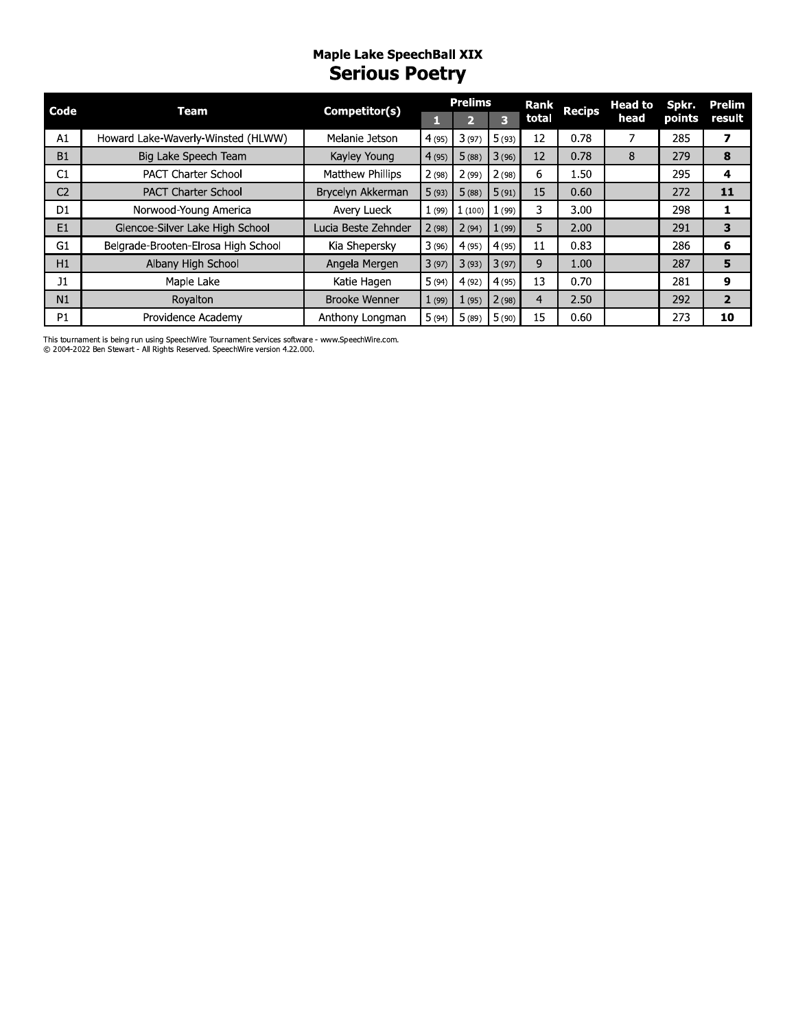#### **Maple Lake SpeechBall XIX Serious Poetry**

| Code           | <b>Team</b>                         | Competitor(s)        |       | <b>Prelims</b>   |       | <b>Rank</b> | <b>Recips</b> | <b>Head to</b> | Spkr.  | Prelim         |
|----------------|-------------------------------------|----------------------|-------|------------------|-------|-------------|---------------|----------------|--------|----------------|
|                |                                     |                      |       |                  | 3     | total       |               | head           | points | result         |
| A1             | Howard Lake-Waverly-Winsted (HLWW)  | Melanie Jetson       | 4(95) | 3(97)            | 5(93) | 12          | 0.78          |                | 285    | 7              |
| <b>B1</b>      | Big Lake Speech Team                | Kayley Young         | 4(95) | 5(88)            | 3(96) | 12          | 0.78          | 8              | 279    | 8              |
| C1             | <b>PACT Charter School</b>          | Matthew Phillips     | 2(98) | 2(99)            | 2(98) | 6           | 1.50          |                | 295    | 4              |
| C <sub>2</sub> | <b>PACT Charter School</b>          | Brycelyn Akkerman    | 5(93) | 5(88)            | 5(91) | 15          | 0.60          |                | 272    | 11             |
| D <sub>1</sub> | Norwood-Young America               | Avery Lueck          |       | $1(99)$ $1(100)$ | (99)  | 3           | 3.00          |                | 298    |                |
| E1             | Glencoe-Silver Lake High School     | Lucia Beste Zehnder  | 2(98) | 2(94)            | 1(99) | 5           | 2.00          |                | 291    | 3              |
| G1             | Belgrade-Brooten-Elrosa High School | Kia Shepersky        | 3(96) | 4(95)            | 4(95) | 11          | 0.83          |                | 286    | 6              |
| H1             | Albany High School                  | Angela Mergen        | 3(97) | 3(93)            | 3(97) | 9           | 1.00          |                | 287    | 5              |
| J1             | Maple Lake                          | Katie Hagen          | 5(94) | 4(92)            | 4(95) | 13          | 0.70          |                | 281    | 9              |
| N1             | Royalton                            | <b>Brooke Wenner</b> | 1(99) | 1(95)            | 2(98) | 4           | 2.50          |                | 292    | $\overline{2}$ |
| P <sub>1</sub> | Providence Academy                  | Anthony Longman      | 5(94) | 5(89)            | 5(90) | 15          | 0.60          |                | 273    | 10             |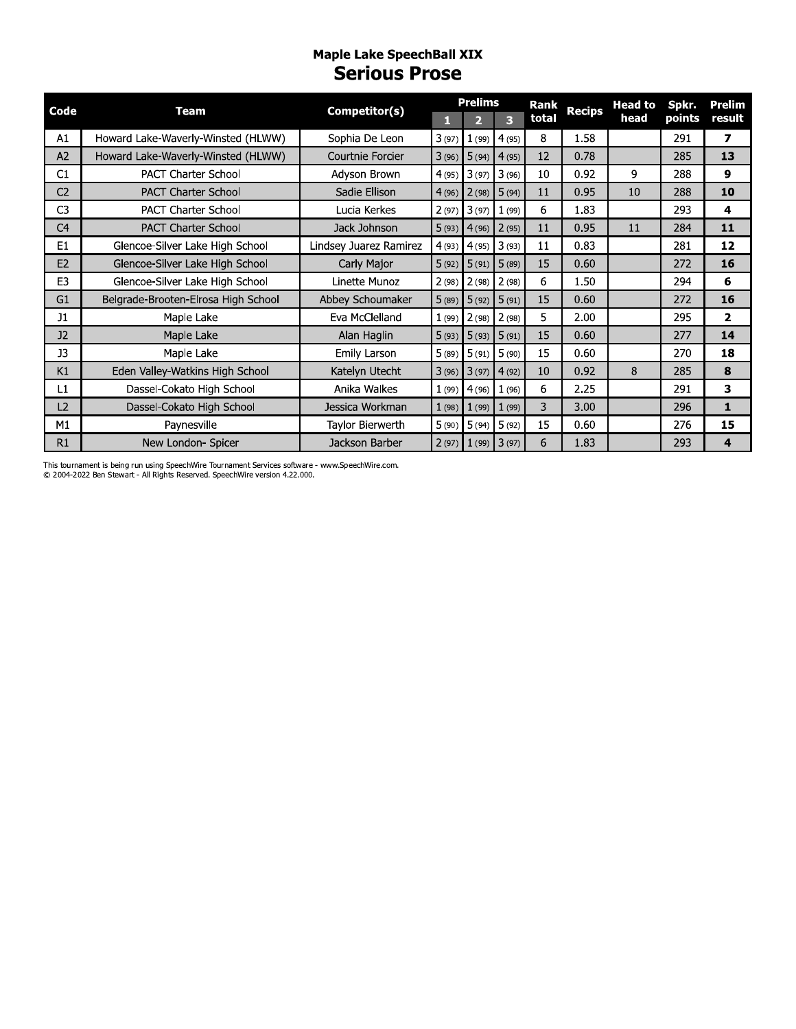#### **Maple Lake SpeechBall XIX Serious Prose**

| Code           | <b>Team</b>                         | Competitor(s)          | <b>Prelims</b> |                         |               | <b>Rank</b> | <b>Recips</b> | <b>Head to</b> | Spkr.  | Prelim         |  |
|----------------|-------------------------------------|------------------------|----------------|-------------------------|---------------|-------------|---------------|----------------|--------|----------------|--|
|                |                                     |                        | П              | $\overline{\mathbf{2}}$ | 3             | total       |               | head           | points | result         |  |
| A1             | Howard Lake-Waverly-Winsted (HLWW)  | Sophia De Leon         | 3(97)          |                         | $1(99)$ 4(95) | 8           | 1.58          |                | 291    | $\overline{ }$ |  |
| A2             | Howard Lake-Waverly-Winsted (HLWW)  | Courtnie Forcier       | 3(96)          | 5(94)                   | 4(95)         | 12          | 0.78          |                | 285    | 13             |  |
| C1             | <b>PACT Charter School</b>          | Adyson Brown           | 4(95)          | 3(97)                   | 3(96)         | 10          | 0.92          | 9              | 288    | 9              |  |
| C <sub>2</sub> | <b>PACT Charter School</b>          | Sadie Ellison          | 4(96)          | 2(98)                   | 5(94)         | 11          | 0.95          | 10             | 288    | 10             |  |
| C <sub>3</sub> | <b>PACT Charter School</b>          | Lucia Kerkes           | 2(97)          | 3(97)                   | 1(99)         | 6           | 1.83          |                | 293    | 4              |  |
| C <sub>4</sub> | <b>PACT Charter School</b>          | Jack Johnson           | 5(93)          | 4(96)                   | 2(95)         | 11          | 0.95          | 11             | 284    | 11             |  |
| E <sub>1</sub> | Glencoe-Silver Lake High School     | Lindsey Juarez Ramirez | 4(93)          | 4(95)                   | 3(93)         | 11          | 0.83          |                | 281    | 12             |  |
| E2             | Glencoe-Silver Lake High School     | Carly Major            | 5(92)          | 5(91)                   | 5(89)         | 15          | 0.60          |                | 272    | <b>16</b>      |  |
| E <sub>3</sub> | Glencoe-Silver Lake High School     | Linette Munoz          | 2(98)          | 2(98)                   | 2(98)         | 6           | 1.50          |                | 294    | 6              |  |
| G1             | Belgrade-Brooten-Elrosa High School | Abbey Schoumaker       | 5(89)          | 5(92)                   | 5(91)         | 15          | 0.60          |                | 272    | <b>16</b>      |  |
| J1             | Maple Lake                          | Eva McClelland         | 1(99)          | 2(98)                   | 2(98)         | 5           | 2.00          |                | 295    | $\mathbf{z}$   |  |
| J2             | Maple Lake                          | Alan Haglin            | 5(93)          | 5(93)                   | 5(91)         | 15          | 0.60          |                | 277    | 14             |  |
| <b>J3</b>      | Maple Lake                          | Emily Larson           | 5(89)          | 5(91)                   | 5(90)         | 15          | 0.60          |                | 270    | 18             |  |
| K1             | Eden Valley-Watkins High School     | Katelyn Utecht         | 3(96)          | 3(97)                   | 4(92)         | 10          | 0.92          | 8              | 285    | 8              |  |
| L1             | Dassel-Cokato High School           | Anika Walkes           | 1(99)          | 4(96)                   | 1(96)         | 6           | 2.25          |                | 291    | 3              |  |
| L2             | Dassel-Cokato High School           | Jessica Workman        | 1(98)          | 1(99)                   | 1(99)         | 3           | 3.00          |                | 296    | $\mathbf{1}$   |  |
| M1             | Paynesville                         | Taylor Bierwerth       | 5(90)          | 5(94)                   | 5(92)         | 15          | 0.60          |                | 276    | 15             |  |
| R1             | New London- Spicer                  | Jackson Barber         | 2(97)          | 1(99)                   | 3(97)         | 6           | 1.83          |                | 293    | 4              |  |